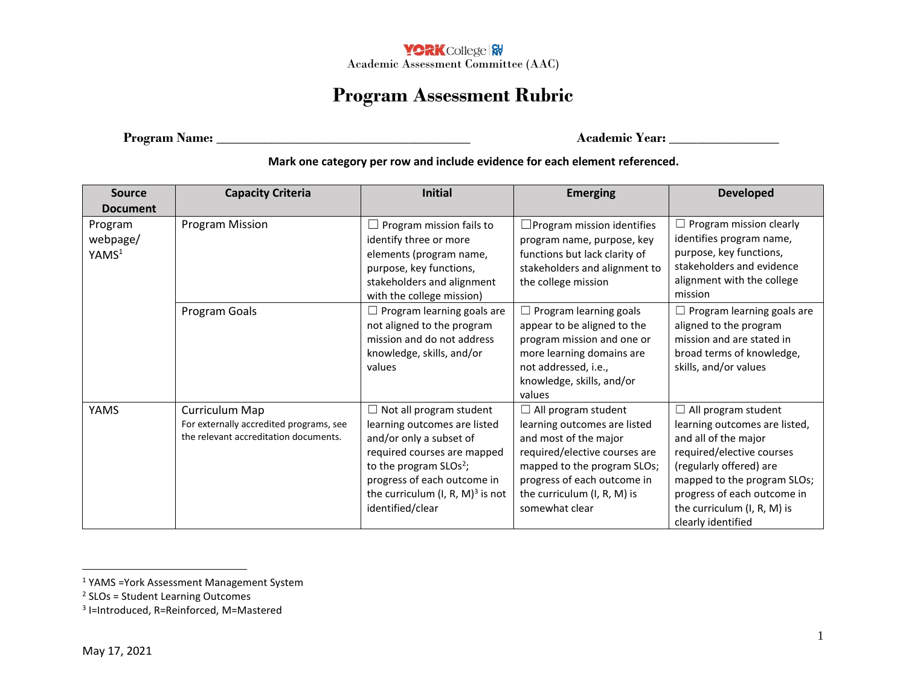

## **Program Assessment Rubric**

**Program Name: \_\_\_\_\_\_\_\_\_\_\_\_\_\_\_\_\_\_\_\_\_\_\_\_\_\_\_\_\_\_\_\_\_\_\_\_\_ Academic Year: \_\_\_\_\_\_\_\_\_\_\_\_\_\_\_\_**

**Mark one category per row and include evidence for each element referenced.**

| <b>Source</b>                            | <b>Capacity Criteria</b>                                                                           | <b>Initial</b>                                                                                                                                                                                                                                 | <b>Emerging</b>                                                                                                                                                                                                                     | <b>Developed</b>                                                                                                                                                                                                                                               |
|------------------------------------------|----------------------------------------------------------------------------------------------------|------------------------------------------------------------------------------------------------------------------------------------------------------------------------------------------------------------------------------------------------|-------------------------------------------------------------------------------------------------------------------------------------------------------------------------------------------------------------------------------------|----------------------------------------------------------------------------------------------------------------------------------------------------------------------------------------------------------------------------------------------------------------|
| <b>Document</b>                          |                                                                                                    |                                                                                                                                                                                                                                                |                                                                                                                                                                                                                                     |                                                                                                                                                                                                                                                                |
| Program<br>webpage/<br>YAMS <sup>1</sup> | Program Mission                                                                                    | Program mission fails to<br>identify three or more<br>elements (program name,<br>purpose, key functions,<br>stakeholders and alignment<br>with the college mission)                                                                            | $\Box$ Program mission identifies<br>program name, purpose, key<br>functions but lack clarity of<br>stakeholders and alignment to<br>the college mission                                                                            | Program mission clearly<br>identifies program name,<br>purpose, key functions,<br>stakeholders and evidence<br>alignment with the college<br>mission                                                                                                           |
|                                          | Program Goals                                                                                      | $\Box$ Program learning goals are<br>not aligned to the program<br>mission and do not address<br>knowledge, skills, and/or<br>values                                                                                                           | Program learning goals<br>appear to be aligned to the<br>program mission and one or<br>more learning domains are<br>not addressed, i.e.,<br>knowledge, skills, and/or<br>values                                                     | $\Box$ Program learning goals are<br>aligned to the program<br>mission and are stated in<br>broad terms of knowledge,<br>skills, and/or values                                                                                                                 |
| <b>YAMS</b>                              | Curriculum Map<br>For externally accredited programs, see<br>the relevant accreditation documents. | $\Box$ Not all program student<br>learning outcomes are listed<br>and/or only a subset of<br>required courses are mapped<br>to the program $SLOs2$ ;<br>progress of each outcome in<br>the curriculum $(I, R, M)^3$ is not<br>identified/clear | $\Box$ All program student<br>learning outcomes are listed<br>and most of the major<br>required/elective courses are<br>mapped to the program SLOs;<br>progress of each outcome in<br>the curriculum (I, R, M) is<br>somewhat clear | $\Box$ All program student<br>learning outcomes are listed,<br>and all of the major<br>required/elective courses<br>(regularly offered) are<br>mapped to the program SLOs;<br>progress of each outcome in<br>the curriculum (I, R, M) is<br>clearly identified |

 $\overline{a}$ 

<sup>1</sup> YAMS =York Assessment Management System

<sup>&</sup>lt;sup>2</sup> SLOs = Student Learning Outcomes

<sup>3</sup> I=Introduced, R=Reinforced, M=Mastered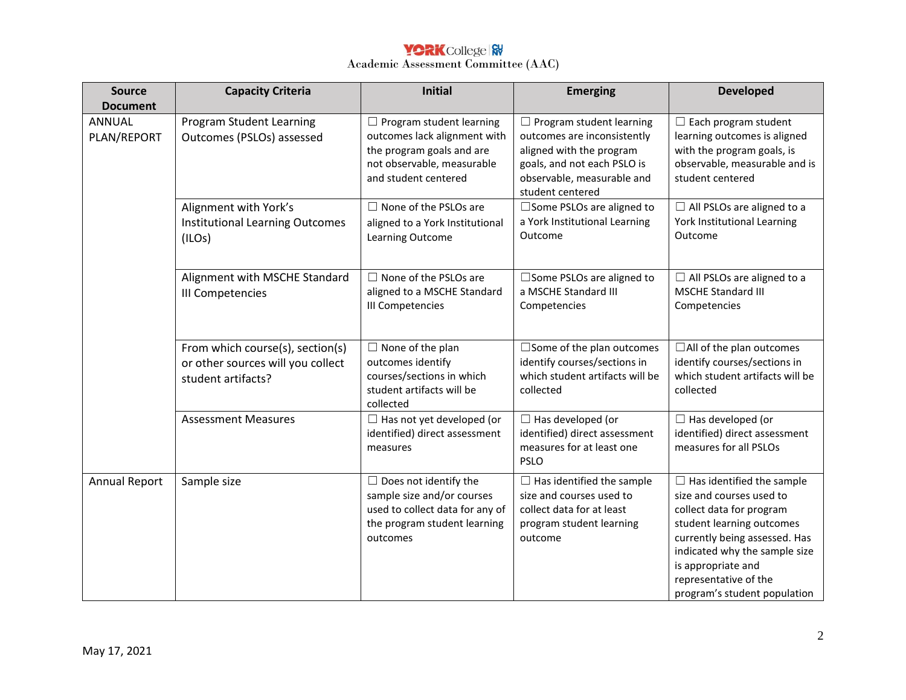## Academic Assessment Committee (AAC)

| <b>Source</b>         | <b>Capacity Criteria</b>                                                                    | <b>Initial</b>                                                                                                                                     | <b>Emerging</b>                                                                                                                                                             | <b>Developed</b>                                                                                                                                                                                                                                                       |
|-----------------------|---------------------------------------------------------------------------------------------|----------------------------------------------------------------------------------------------------------------------------------------------------|-----------------------------------------------------------------------------------------------------------------------------------------------------------------------------|------------------------------------------------------------------------------------------------------------------------------------------------------------------------------------------------------------------------------------------------------------------------|
| <b>Document</b>       |                                                                                             |                                                                                                                                                    |                                                                                                                                                                             |                                                                                                                                                                                                                                                                        |
| ANNUAL<br>PLAN/REPORT | <b>Program Student Learning</b><br>Outcomes (PSLOs) assessed                                | $\Box$ Program student learning<br>outcomes lack alignment with<br>the program goals and are<br>not observable, measurable<br>and student centered | $\Box$ Program student learning<br>outcomes are inconsistently<br>aligned with the program<br>goals, and not each PSLO is<br>observable, measurable and<br>student centered | $\Box$ Each program student<br>learning outcomes is aligned<br>with the program goals, is<br>observable, measurable and is<br>student centered                                                                                                                         |
|                       | Alignment with York's<br><b>Institutional Learning Outcomes</b><br>(ILOS)                   | $\Box$ None of the PSLOs are<br>aligned to a York Institutional<br>Learning Outcome                                                                | □ Some PSLOs are aligned to<br>a York Institutional Learning<br>Outcome                                                                                                     | $\Box$ All PSLOs are aligned to a<br>York Institutional Learning<br>Outcome                                                                                                                                                                                            |
|                       | Alignment with MSCHE Standard<br><b>III Competencies</b>                                    | $\Box$ None of the PSLOs are<br>aligned to a MSCHE Standard<br><b>III Competencies</b>                                                             | $\Box$ Some PSLOs are aligned to<br>a MSCHE Standard III<br>Competencies                                                                                                    | $\Box$ All PSLOs are aligned to a<br><b>MSCHE Standard III</b><br>Competencies                                                                                                                                                                                         |
|                       | From which course(s), section(s)<br>or other sources will you collect<br>student artifacts? | $\Box$ None of the plan<br>outcomes identify<br>courses/sections in which<br>student artifacts will be<br>collected                                | $\square$ Some of the plan outcomes<br>identify courses/sections in<br>which student artifacts will be<br>collected                                                         | $\Box$ All of the plan outcomes<br>identify courses/sections in<br>which student artifacts will be<br>collected                                                                                                                                                        |
|                       | <b>Assessment Measures</b>                                                                  | $\Box$ Has not yet developed (or<br>identified) direct assessment<br>measures                                                                      | $\Box$ Has developed (or<br>identified) direct assessment<br>measures for at least one<br><b>PSLO</b>                                                                       | $\Box$ Has developed (or<br>identified) direct assessment<br>measures for all PSLOs                                                                                                                                                                                    |
| <b>Annual Report</b>  | Sample size                                                                                 | $\Box$ Does not identify the<br>sample size and/or courses<br>used to collect data for any of<br>the program student learning<br>outcomes          | $\Box$ Has identified the sample<br>size and courses used to<br>collect data for at least<br>program student learning<br>outcome                                            | $\Box$ Has identified the sample<br>size and courses used to<br>collect data for program<br>student learning outcomes<br>currently being assessed. Has<br>indicated why the sample size<br>is appropriate and<br>representative of the<br>program's student population |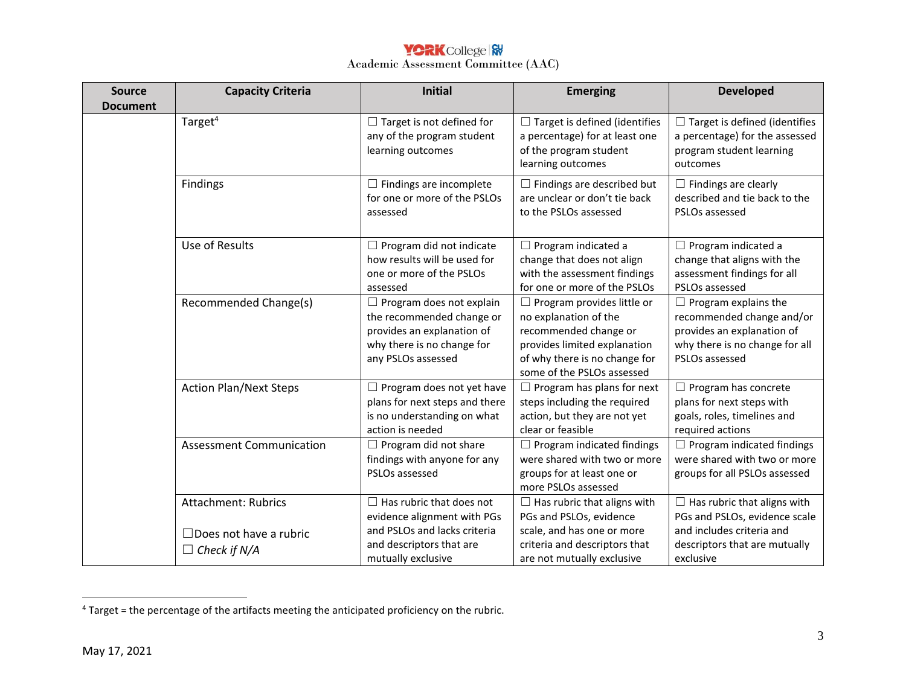## **YORK** College **RV** Academic Assessment Committee (AAC)

| <b>Source</b>   | <b>Capacity Criteria</b>                             | <b>Initial</b>                                                                                                                                 | <b>Emerging</b>                                                                                                                                                                    | <b>Developed</b>                                                                                                                           |
|-----------------|------------------------------------------------------|------------------------------------------------------------------------------------------------------------------------------------------------|------------------------------------------------------------------------------------------------------------------------------------------------------------------------------------|--------------------------------------------------------------------------------------------------------------------------------------------|
| <b>Document</b> |                                                      |                                                                                                                                                |                                                                                                                                                                                    |                                                                                                                                            |
|                 | Target <sup>4</sup>                                  | $\Box$ Target is not defined for<br>any of the program student<br>learning outcomes                                                            | $\Box$ Target is defined (identifies<br>a percentage) for at least one<br>of the program student<br>learning outcomes                                                              | $\Box$ Target is defined (identifies<br>a percentage) for the assessed<br>program student learning<br>outcomes                             |
|                 | Findings                                             | $\Box$ Findings are incomplete<br>for one or more of the PSLOs<br>assessed                                                                     | $\Box$ Findings are described but<br>are unclear or don't tie back<br>to the PSLOs assessed                                                                                        | $\Box$ Findings are clearly<br>described and tie back to the<br>PSLOs assessed                                                             |
|                 | Use of Results                                       | $\Box$ Program did not indicate<br>how results will be used for<br>one or more of the PSLOs<br>assessed                                        | $\Box$ Program indicated a<br>change that does not align<br>with the assessment findings<br>for one or more of the PSLOs                                                           | $\Box$ Program indicated a<br>change that aligns with the<br>assessment findings for all<br>PSLOs assessed                                 |
|                 | Recommended Change(s)                                | $\Box$ Program does not explain<br>the recommended change or<br>provides an explanation of<br>why there is no change for<br>any PSLOs assessed | $\Box$ Program provides little or<br>no explanation of the<br>recommended change or<br>provides limited explanation<br>of why there is no change for<br>some of the PSLOs assessed | $\Box$ Program explains the<br>recommended change and/or<br>provides an explanation of<br>why there is no change for all<br>PSLOs assessed |
|                 | <b>Action Plan/Next Steps</b>                        | $\Box$ Program does not yet have<br>plans for next steps and there<br>is no understanding on what<br>action is needed                          | $\Box$ Program has plans for next<br>steps including the required<br>action, but they are not yet<br>clear or feasible                                                             | $\Box$ Program has concrete<br>plans for next steps with<br>goals, roles, timelines and<br>required actions                                |
|                 | <b>Assessment Communication</b>                      | $\Box$ Program did not share<br>findings with anyone for any<br>PSLOs assessed                                                                 | $\Box$ Program indicated findings<br>were shared with two or more<br>groups for at least one or<br>more PSLOs assessed                                                             | $\Box$ Program indicated findings<br>were shared with two or more<br>groups for all PSLOs assessed                                         |
|                 | <b>Attachment: Rubrics</b>                           | $\Box$ Has rubric that does not<br>evidence alignment with PGs                                                                                 | $\Box$ Has rubric that aligns with<br>PGs and PSLOs, evidence                                                                                                                      | $\Box$ Has rubric that aligns with<br>PGs and PSLOs, evidence scale                                                                        |
|                 | $\Box$ Does not have a rubric<br>$\Box$ Check if N/A | and PSLOs and lacks criteria<br>and descriptors that are<br>mutually exclusive                                                                 | scale, and has one or more<br>criteria and descriptors that<br>are not mutually exclusive                                                                                          | and includes criteria and<br>descriptors that are mutually<br>exclusive                                                                    |

 $\overline{a}$ 

 $4$  Target = the percentage of the artifacts meeting the anticipated proficiency on the rubric.